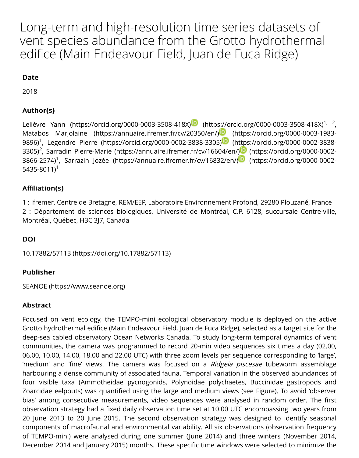#### **Date**

2018

#### Author(s) Author(s)

Lelièvre Yann (https://orcid.org/0000-0003-3508-418X) (https://orcid.org/0000-0003-3508 Matabos Marjolaine (https://annuaire.ifremer.fr/cv/20350/en/) (https://orcid.org/0000-0 9896)<sup>1</sup>, Legendre Pierre (https://orcid.org/0000-0002-3838-3305) $\blacksquare$  (https://orcid.org/0000-0 3305)<sup>2</sup>, Sarradin Pierre-Marie (https://annuaire.ifremer.fr/cv/16604/en/) ${}^{{\color{red}\textcircled{\textbf{D}}}}$  (https://orcid.org/C 3866-2574)<sup>1</sup>, Sarrazin Jozée (https://annuaire.ifremer.fr/cv/16832/en/)<sup>19</sup> (https://orcid.org/C 5435-8011)<sup>1</sup>

### Affi[liation\(s\)](https://orcid.org/0000-0003-3508-418X)

1 : Ifremer, Centre de Bretagne, REM/EEP, Laboratoire Environnement Profond, 29280 Plouzan 2 : Département de sciences biologiques, Université de Montréal, C.P. 6128, succursale C [Montréal, Québec, H3C 3J7, Canada](https://orcid.org/0000-0002-5435-8011)

#### DOI DOI

10.17882/57113 (https://doi.org/10.17882/57113)

#### Publisher

SEANOE (https://www.seanoe.org)

#### Abstract

[Focused on vent ecology, the TEMPO-mini ecolo](https://doi.org/10.17882/57113)gical observatory module is deployed on Grotto hydrothermal edifice (Main Endeavour Field, Juan de Fuca Ridge), selected as a target site of deep-sea cabled observatory Ocean Networks Canada. To study long-term temporal dynam [communities, the camera was pro](https://www.seanoe.org/)grammed to record 20-min video sequences six times a d 06.00, 10.00, 14.00, 18.00 and 22.00 UTC) with three zoom levels per sequence corresponding 'medium' and 'fine' views. The camera was focused on a Ridgeia piscesae tubeworm as harbouring a dense community of associated fauna. Temporal variation in the observed abur four visible taxa (Ammotheidae pycnogonids, Polynoidae polychaetes, Buccinidae gastro Zoarcidae eelpouts) was quantified using the large and medium views (see Figure). To avoid bias' among consecutive measurements, video sequences were analysed in random order observation strategy had a fixed daily observation time set at 10.00 UTC encompassing two years of 20 June 2013 to 20 June 2015. The second observation strategy was designed to identify components of macrofaunal and environmental variability. All six observations (observation of TEMPO-mini) were analysed during one summer (June 2014) and three winters (Novem December 2014 and January 2015) months. These specific time windows were selected to mi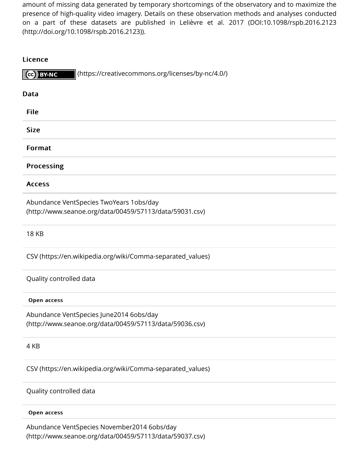

| $\sim$ , and $\sim$                                                                                |
|----------------------------------------------------------------------------------------------------|
| <b>Data</b>                                                                                        |
| <b>File</b>                                                                                        |
| <b>Size</b>                                                                                        |
| Format                                                                                             |
| <b>Processing</b>                                                                                  |
| <b>Access</b>                                                                                      |
| Abundance VentSpecies TwoYears 1obs/day<br>(http://www.seanoe.org/data/00459/57113/data/59031.csv) |
| <b>18 KB</b>                                                                                       |
| CSV (https://en.wikipedia.org/wiki/Comma-separated_values)                                         |
| Quality controlled data                                                                            |
| Open access                                                                                        |
| Abundance VentSpecies June2014 6obs/day<br>(http://www.seanoe.org/data/00459/57113/data/59036.csv) |
| 4 KB                                                                                               |
| CSV (https://en.wikipedia.org/wiki/Comma-separated_values)                                         |
| Quality controlled data                                                                            |
| Open access                                                                                        |

[Abundance VentSpecies November2014 6obs/day](https://en.wikipedia.org/wiki/Comma-separated_values) (http://www.seanoe.org/data/00459/57113/data/59037.csv)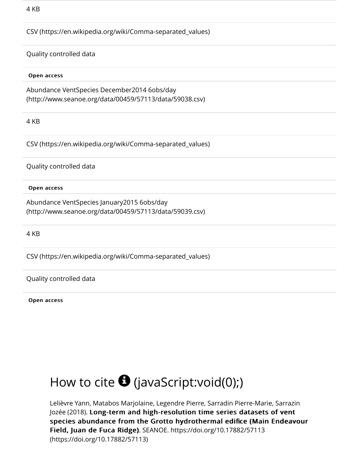#### Open access

[Abundance VentSpecies December2014 6obs/day](https://en.wikipedia.org/wiki/Comma-separated_values) (http://www.seanoe.org/data/00459/57113/data/59038.csv)

4 KB

CSV (https://en.wikipedia.org/wiki/Comma-separated\_values)

[Quality controlled data](http://www.seanoe.org/data/00459/57113/data/59038.csv)

Open access

[Abundance VentSpecies January2015 6obs/day](https://en.wikipedia.org/wiki/Comma-separated_values) (http://www.seanoe.org/data/00459/57113/data/59039.csv)

4 KB

CSV (https://en.wikipedia.org/wiki/Comma-separated\_values)

[Quality controlled data](http://www.seanoe.org/data/00459/57113/data/59039.csv)

Open access

# How to cite  $\bigoplus$  (javaScript:void(0);)

Lelièvre Yann, Matabos Marjolaine, Legendre Pierre, Sarradin Pierre-Marie, Sarrazin Jozée (2018). Long-term and high-resolution time series datasets of vent species abundance from the Grotto hydrothermal edifice (Main Endeavou Field, Juan de Fuca Ridge). SEANOE. https://doi.org/10.17882/57113 (https://doi.org/10.17[882/57113\)](javascript:void(0);)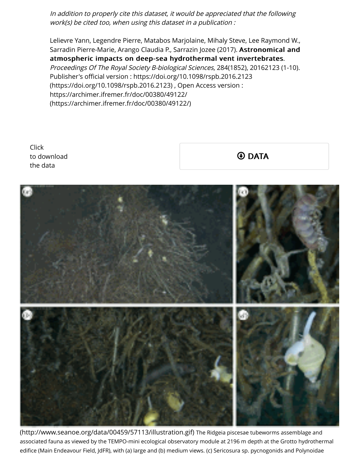Proceedings Of The Royal Society B-biological Sciences, 284(1852), 20162123 (1-10). Publisher's official version : https://doi.org/10.1098/rspb.2016.2123 (https://doi.org/10.1098/rspb.2016.2123) , Open Access version : https://archimer.ifremer.fr/doc/00380/49122/ (https://archimer.ifremer.fr/doc/00380/49122/)

Click to do[wnload](https://archimer.ifremer.fr/doc/00380/49122/) the data

 $\oplus$  **DATA** 



(http://www.seanoe.org/data/00459/57113/illustration.gif) The Ridgeia piscesae tubeworms assembla associated fauna as viewed by the TEMPO-mini ecological observatory module at 2196 m depth at the Grotto hy edifice (Main Endeavour Field, JdFR), with (a) large and (b) medium views. (c) Sericosura sp. pycnogonids and Poly